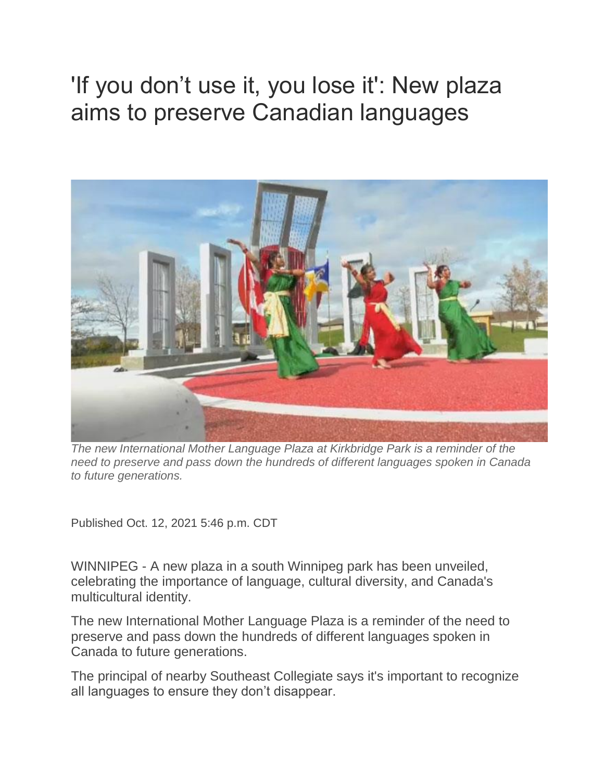## 'If you don't use it, you lose it': New plaza aims to preserve Canadian languages



*The new International Mother Language Plaza at Kirkbridge Park is a reminder of the need to preserve and pass down the hundreds of different languages spoken in Canada to future generations.*

Published Oct. 12, 2021 5:46 p.m. CDT

WINNIPEG - A new plaza in a south Winnipeg park has been unveiled, celebrating the importance of language, cultural diversity, and Canada's multicultural identity.

The new International Mother Language Plaza is a reminder of the need to preserve and pass down the hundreds of different languages spoken in Canada to future generations.

The principal of nearby Southeast Collegiate says it's important to recognize all languages to ensure they don't disappear.